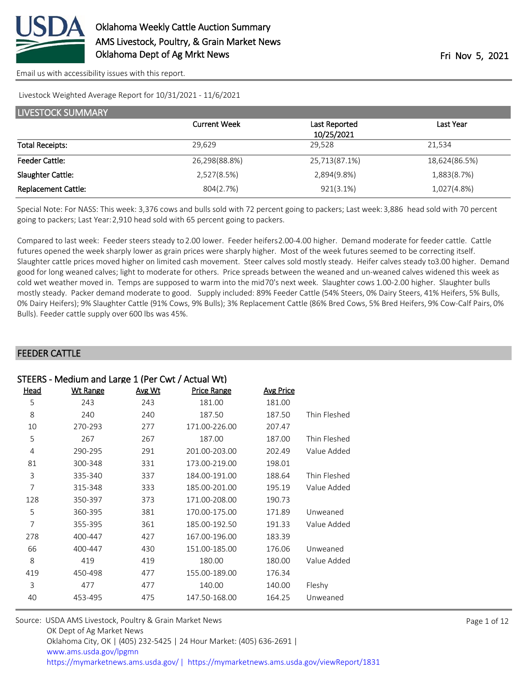

#### Livestock Weighted Average Report for 10/31/2021 - 11/6/2021

| <b>LIVESTOCK SUMMARY</b>   |                     |               |               |  |  |
|----------------------------|---------------------|---------------|---------------|--|--|
|                            | <b>Current Week</b> | Last Reported | Last Year     |  |  |
|                            |                     | 10/25/2021    |               |  |  |
| <b>Total Receipts:</b>     | 29,629              | 29,528        | 21,534        |  |  |
| <b>Feeder Cattle:</b>      | 26,298(88.8%)       | 25,713(87.1%) | 18,624(86.5%) |  |  |
| Slaughter Cattle:          | 2,527(8.5%)         | 2,894(9.8%)   | 1,883(8.7%)   |  |  |
| <b>Replacement Cattle:</b> | 804(2.7%)           | $921(3.1\%)$  | 1,027(4.8%)   |  |  |

Special Note: For NASS: This week: 3,376 cows and bulls sold with 72 percent going to packers; Last week: 3,886 head sold with 70 percent going to packers; Last Year: 2,910 head sold with 65 percent going to packers.

Compared to last week: Feeder steers steady to 2.00 lower. Feeder heifers 2.00-4.00 higher. Demand moderate for feeder cattle. Cattle futures opened the week sharply lower as grain prices were sharply higher. Most of the week futures seemed to be correcting itself. Slaughter cattle prices moved higher on limited cash movement. Steer calves sold mostly steady. Heifer calves steady to 3.00 higher. Demand good for long weaned calves; light to moderate for others. Price spreads between the weaned and un-weaned calves widened this week as cold wet weather moved in. Temps are supposed to warm into the mid 70's next week. Slaughter cows 1.00-2.00 higher. Slaughter bulls mostly steady. Packer demand moderate to good. Supply included: 89% Feeder Cattle (54% Steers, 0% Dairy Steers, 41% Heifers, 5% Bulls, 0% Dairy Heifers); 9% Slaughter Cattle (91% Cows, 9% Bulls); 3% Replacement Cattle (86% Bred Cows, 5% Bred Heifers, 9% Cow-Calf Pairs, 0% Bulls). Feeder cattle supply over 600 lbs was 45%.

#### FEEDER CATTLE

| STEERS - Medium and Large 1 (Per Cwt / Actual Wt) |                 |        |                    |                  |              |  |
|---------------------------------------------------|-----------------|--------|--------------------|------------------|--------------|--|
| <u>Head</u>                                       | <b>Wt Range</b> | Avg Wt | <b>Price Range</b> | <b>Avg Price</b> |              |  |
| 5                                                 | 243             | 243    | 181.00             | 181.00           |              |  |
| 8                                                 | 240             | 240    | 187.50             | 187.50           | Thin Fleshed |  |
| 10                                                | 270-293         | 277    | 171.00-226.00      | 207.47           |              |  |
| 5                                                 | 267             | 267    | 187.00             | 187.00           | Thin Fleshed |  |
| $\overline{4}$                                    | 290-295         | 291    | 201.00-203.00      | 202.49           | Value Added  |  |
| 81                                                | 300-348         | 331    | 173.00-219.00      | 198.01           |              |  |
| 3                                                 | 335-340         | 337    | 184.00-191.00      | 188.64           | Thin Fleshed |  |
| 7                                                 | 315-348         | 333    | 185.00-201.00      | 195.19           | Value Added  |  |
| 128                                               | 350-397         | 373    | 171.00-208.00      | 190.73           |              |  |
| 5                                                 | 360-395         | 381    | 170.00-175.00      | 171.89           | Unweaned     |  |
| 7                                                 | 355-395         | 361    | 185.00-192.50      | 191.33           | Value Added  |  |
| 278                                               | 400-447         | 427    | 167.00-196.00      | 183.39           |              |  |
| 66                                                | 400-447         | 430    | 151.00-185.00      | 176.06           | Unweaned     |  |
| 8                                                 | 419             | 419    | 180.00             | 180.00           | Value Added  |  |
| 419                                               | 450-498         | 477    | 155.00-189.00      | 176.34           |              |  |
| 3                                                 | 477             | 477    | 140.00             | 140.00           | Fleshy       |  |
| 40                                                | 453-495         | 475    | 147.50-168.00      | 164.25           | Unweaned     |  |

| Source: USDA AMS Livestock, Poultry & Grain Market News                               |
|---------------------------------------------------------------------------------------|
| OK Dept of Ag Market News                                                             |
| Oklahoma City, OK   (405) 232-5425   24 Hour Market: (405) 636-2691                   |
| www.ams.usda.gov/lpgmn                                                                |
| https://mymarketnews.ams.usda.gov/  https://mymarketnews.ams.usda.gov/viewReport/1831 |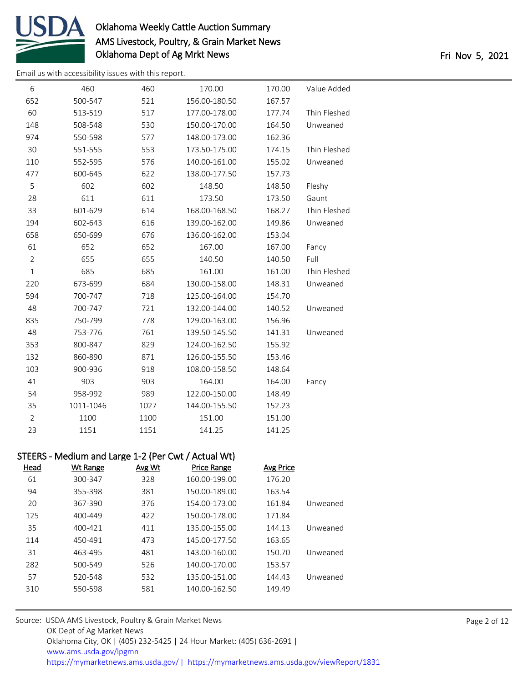

[Email us with accessibility issues with this report.](mailto:mars@ams.usda.gov?subject=508%20issue)

| 6              | 460                                                 | 460    | 170.00             | 170.00           | Value Added  |
|----------------|-----------------------------------------------------|--------|--------------------|------------------|--------------|
| 652            | 500-547                                             | 521    | 156.00-180.50      | 167.57           |              |
| 60             | 513-519                                             | 517    | 177.00-178.00      | 177.74           | Thin Fleshed |
| 148            | 508-548                                             | 530    | 150.00-170.00      | 164.50           | Unweaned     |
| 974            | 550-598                                             | 577    | 148.00-173.00      | 162.36           |              |
| 30             | 551-555                                             | 553    | 173.50-175.00      | 174.15           | Thin Fleshed |
| 110            | 552-595                                             | 576    | 140.00-161.00      | 155.02           | Unweaned     |
| 477            | 600-645                                             | 622    | 138.00-177.50      | 157.73           |              |
| 5              | 602                                                 | 602    | 148.50             | 148.50           | Fleshy       |
| 28             | 611                                                 | 611    | 173.50             | 173.50           | Gaunt        |
| 33             | 601-629                                             | 614    | 168.00-168.50      | 168.27           | Thin Fleshed |
| 194            | 602-643                                             | 616    | 139.00-162.00      | 149.86           | Unweaned     |
| 658            | 650-699                                             | 676    | 136.00-162.00      | 153.04           |              |
| 61             | 652                                                 | 652    | 167.00             | 167.00           | Fancy        |
| $\overline{2}$ | 655                                                 | 655    | 140.50             | 140.50           | Full         |
| $\mathbf{1}$   | 685                                                 | 685    | 161.00             | 161.00           | Thin Fleshed |
| 220            | 673-699                                             | 684    | 130.00-158.00      | 148.31           | Unweaned     |
| 594            | 700-747                                             | 718    | 125.00-164.00      | 154.70           |              |
| 48             | 700-747                                             | 721    | 132.00-144.00      | 140.52           | Unweaned     |
| 835            | 750-799                                             | 778    | 129.00-163.00      | 156.96           |              |
| 48             | 753-776                                             | 761    | 139.50-145.50      | 141.31           | Unweaned     |
| 353            | 800-847                                             | 829    | 124.00-162.50      | 155.92           |              |
| 132            | 860-890                                             | 871    | 126.00-155.50      | 153.46           |              |
| 103            | 900-936                                             | 918    | 108.00-158.50      | 148.64           |              |
| 41             | 903                                                 | 903    | 164.00             | 164.00           | Fancy        |
| 54             | 958-992                                             | 989    | 122.00-150.00      | 148.49           |              |
| 35             | 1011-1046                                           | 1027   | 144.00-155.50      | 152.23           |              |
| $\overline{2}$ | 1100                                                | 1100   | 151.00             | 151.00           |              |
| 23             | 1151                                                | 1151   | 141.25             | 141.25           |              |
|                | STEERS - Medium and Large 1-2 (Per Cwt / Actual Wt) |        |                    |                  |              |
| <b>Head</b>    | <b>Wt Range</b>                                     | Avg Wt | <b>Price Range</b> | <b>Avg Price</b> |              |
| 61             | 300-347                                             | 328    | 160.00-199.00      | 176.20           |              |
| 94             | 355-398                                             | 381    | 150.00-189.00      | 163.54           |              |
| 20             | 367-390                                             | 376    | 154.00-173.00      | 161.84           | Unweaned     |
| 125            | 400-449                                             | 422    | 150.00-178.00      | 171.84           |              |
| 35             | 400-421                                             | 411    | 135.00-155.00      | 144.13           | Unweaned     |

 450-491 473 145.00-177.50 163.65 463-495 481 143.00-160.00 150.70 Unweaned 500-549 526 140.00-170.00 153.57 520-548 532 135.00-151.00 144.43 Unweaned 550-598 581 140.00-162.50 149.49 Source: USDA AMS Livestock, Poultry & Grain Market News

OK Dept of Ag Market News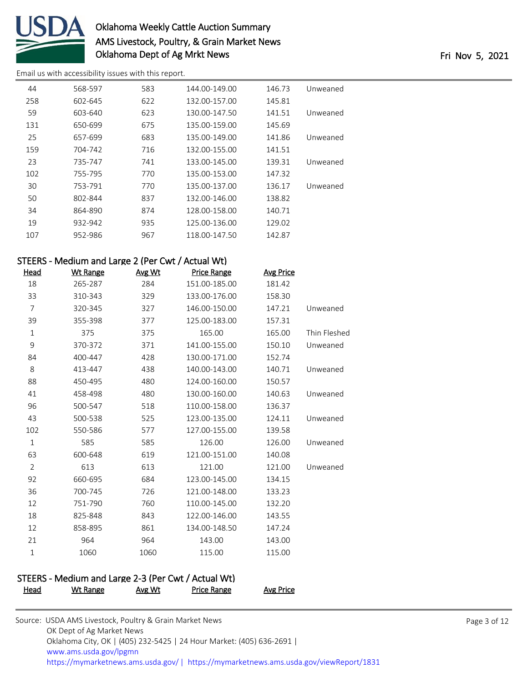

[Email us with accessibility issues with this report.](mailto:mars@ams.usda.gov?subject=508%20issue)

| 44  | 568-597 | 583 | 144.00-149.00 | 146.73 | Unweaned |
|-----|---------|-----|---------------|--------|----------|
| 258 | 602-645 | 622 | 132.00-157.00 | 145.81 |          |
| 59  | 603-640 | 623 | 130.00-147.50 | 141.51 | Unweaned |
| 131 | 650-699 | 675 | 135.00-159.00 | 145.69 |          |
| 25  | 657-699 | 683 | 135.00-149.00 | 141.86 | Unweaned |
| 159 | 704-742 | 716 | 132.00-155.00 | 141.51 |          |
| 23  | 735-747 | 741 | 133.00-145.00 | 139.31 | Unweaned |
| 102 | 755-795 | 770 | 135.00-153.00 | 147.32 |          |
| 30  | 753-791 | 770 | 135.00-137.00 | 136.17 | Unweaned |
| 50  | 802-844 | 837 | 132.00-146.00 | 138.82 |          |
| 34  | 864-890 | 874 | 128.00-158.00 | 140.71 |          |
| 19  | 932-942 | 935 | 125.00-136.00 | 129.02 |          |
| 107 | 952-986 | 967 | 118.00-147.50 | 142.87 |          |

# STEERS - Medium and Large 2 (Per Cwt / Actual Wt)

| <u>Head</u>    | <b>Wt Range</b>                                     | Avg Wt | <b>Price Range</b> | <b>Avg Price</b> |              |  |  |
|----------------|-----------------------------------------------------|--------|--------------------|------------------|--------------|--|--|
| 18             | 265-287                                             | 284    | 151.00-185.00      | 181.42           |              |  |  |
| 33             | 310-343                                             | 329    | 133.00-176.00      | 158.30           |              |  |  |
| $\overline{7}$ | 320-345                                             | 327    | 146.00-150.00      | 147.21           | Unweaned     |  |  |
| 39             | 355-398                                             | 377    | 125.00-183.00      | 157.31           |              |  |  |
| $\mathbf{1}$   | 375                                                 | 375    | 165.00             | 165.00           | Thin Fleshed |  |  |
| 9              | 370-372                                             | 371    | 141.00-155.00      | 150.10           | Unweaned     |  |  |
| 84             | 400-447                                             | 428    | 130.00-171.00      | 152.74           |              |  |  |
| 8              | 413-447                                             | 438    | 140.00-143.00      | 140.71           | Unweaned     |  |  |
| 88             | 450-495                                             | 480    | 124.00-160.00      | 150.57           |              |  |  |
| 41             | 458-498                                             | 480    | 130.00-160.00      | 140.63           | Unweaned     |  |  |
| 96             | 500-547                                             | 518    | 110.00-158.00      | 136.37           |              |  |  |
| 43             | 500-538                                             | 525    | 123.00-135.00      | 124.11           | Unweaned     |  |  |
| 102            | 550-586                                             | 577    | 127.00-155.00      | 139.58           |              |  |  |
| $\mathbf{1}$   | 585                                                 | 585    | 126.00             | 126.00           | Unweaned     |  |  |
| 63             | 600-648                                             | 619    | 121.00-151.00      | 140.08           |              |  |  |
| $\overline{2}$ | 613                                                 | 613    | 121.00             | 121.00           | Unweaned     |  |  |
| 92             | 660-695                                             | 684    | 123.00-145.00      | 134.15           |              |  |  |
| 36             | 700-745                                             | 726    | 121.00-148.00      | 133.23           |              |  |  |
| 12             | 751-790                                             | 760    | 110.00-145.00      | 132.20           |              |  |  |
| 18             | 825-848                                             | 843    | 122.00-146.00      | 143.55           |              |  |  |
| 12             | 858-895                                             | 861    | 134.00-148.50      | 147.24           |              |  |  |
| 21             | 964                                                 | 964    | 143.00             | 143.00           |              |  |  |
| $\mathbf{1}$   | 1060                                                | 1060   | 115.00             | 115.00           |              |  |  |
|                |                                                     |        |                    |                  |              |  |  |
|                | STEERS - Medium and Large 2-3 (Per Cwt / Actual Wt) |        |                    |                  |              |  |  |

Head Wt Range Avg Wt Price Range Avg Price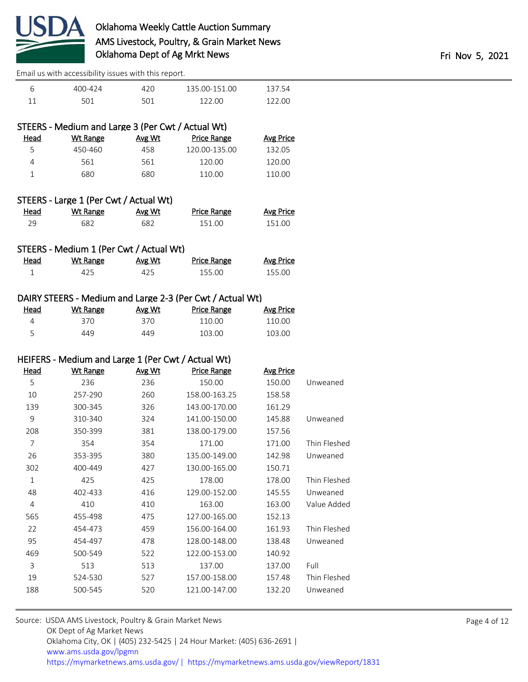

| 400-424 | 42 N            | 135 00-151 00 | 137 54 |
|---------|-----------------|---------------|--------|
|         | 50 <sup>1</sup> | 122 U.V       | 122 QQ |

# STEERS - Medium and Large 3 (Per Cwt / Actual Wt)

| Head | Wt Range | Avg Wt | <b>Price Range</b> | Avg Price |
|------|----------|--------|--------------------|-----------|
| 5.   | 450-460  | 458    | 120.00-135.00      | 132.05    |
| 4    | 561      | 561    | 120.00             | 120.00    |
|      | 680      | 680    | 110.00             | 110.00    |
|      |          |        |                    |           |

# STEERS - Large 1 (Per Cwt / Actual Wt)

| <u>Head</u> | <u>Wt Range</u> | <b>Avg Wt</b> | <b>Price Range</b> | <b>Avg Price</b> |
|-------------|-----------------|---------------|--------------------|------------------|
|             | 682             | 682           | 151.00             | 151.00           |

#### STEERS - Medium 1 (Per Cwt / Actual Wt)

| <u>Head</u> | Wt Range | Avg Wt | Price Range | Avg Price |
|-------------|----------|--------|-------------|-----------|
|             |          |        | 155.00      | 155.00    |

#### DAIRY STEERS - Medium and Large 2-3 (Per Cwt / Actual Wt)

| <u>Head</u> | Wt Range | Avg Wt | Price Range | <b>Avg Price</b> |
|-------------|----------|--------|-------------|------------------|
|             | 370.     | 370    | 110.00      | 110.00           |
|             | 449      | 449    | 103.00      | 103.00           |

#### HEIFERS - Medium and Large 1 (Per Cwt / Actual Wt)

| <u>Head</u> | <b>Wt Range</b> | Avg Wt | <b>Price Range</b> | <b>Avg Price</b> |              |
|-------------|-----------------|--------|--------------------|------------------|--------------|
| 5           | 236             | 236    | 150.00             | 150.00           | Unweaned     |
| 10          | 257-290         | 260    | 158.00-163.25      | 158.58           |              |
| 139         | 300-345         | 326    | 143.00-170.00      | 161.29           |              |
| 9           | 310-340         | 324    | 141.00-150.00      | 145.88           | Unweaned     |
| 208         | 350-399         | 381    | 138.00-179.00      | 157.56           |              |
| 7           | 354             | 354    | 171.00             | 171.00           | Thin Fleshed |
| 26          | 353-395         | 380    | 135.00-149.00      | 142.98           | Unweaned     |
| 302         | 400-449         | 427    | 130.00-165.00      | 150.71           |              |
| 1           | 425             | 425    | 178.00             | 178.00           | Thin Fleshed |
| 48          | 402-433         | 416    | 129.00-152.00      | 145.55           | Unweaned     |
| 4           | 410             | 410    | 163.00             | 163.00           | Value Added  |
| 565         | 455-498         | 475    | 127.00-165.00      | 152.13           |              |
| 22          | 454-473         | 459    | 156.00-164.00      | 161.93           | Thin Fleshed |
| 95          | 454-497         | 478    | 128.00-148.00      | 138.48           | Unweaned     |
| 469         | 500-549         | 522    | 122.00-153.00      | 140.92           |              |
| 3           | 513             | 513    | 137.00             | 137.00           | Full         |
| 19          | 524-530         | 527    | 157.00-158.00      | 157.48           | Thin Fleshed |
| 188         | 500-545         | 520    | 121.00-147.00      | 132.20           | Unweaned     |
|             |                 |        |                    |                  |              |

| Source: USDA AMS Livestock, Poultry & Grain Market News                                |
|----------------------------------------------------------------------------------------|
| OK Dept of Ag Market News                                                              |
| Oklahoma City, OK   (405) 232-5425   24 Hour Market: (405) 636-2691                    |
| www.ams.usda.gov/lpgmn                                                                 |
| https://mymarketnews.ams.usda.gov/   https://mymarketnews.ams.usda.gov/viewReport/1831 |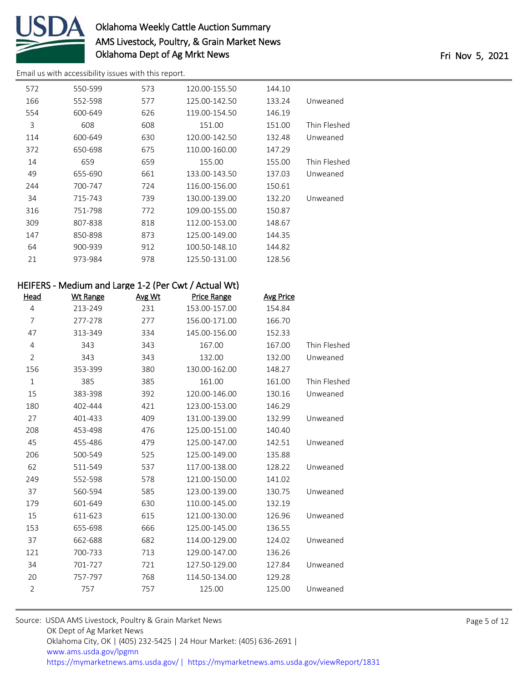

[Email us with accessibility issues with this report.](mailto:mars@ams.usda.gov?subject=508%20issue)

| 572 | 550-599 | 573 | 120.00-155.50 | 144.10 |              |
|-----|---------|-----|---------------|--------|--------------|
| 166 | 552-598 | 577 | 125.00-142.50 | 133.24 | Unweaned     |
| 554 | 600-649 | 626 | 119.00-154.50 | 146.19 |              |
| 3   | 608     | 608 | 151.00        | 151.00 | Thin Fleshed |
| 114 | 600-649 | 630 | 120.00-142.50 | 132.48 | Unweaned     |
| 372 | 650-698 | 675 | 110.00-160.00 | 147.29 |              |
| 14  | 659     | 659 | 155.00        | 155.00 | Thin Fleshed |
| 49  | 655-690 | 661 | 133.00-143.50 | 137.03 | Unweaned     |
| 244 | 700-747 | 724 | 116.00-156.00 | 150.61 |              |
| 34  | 715-743 | 739 | 130.00-139.00 | 132.20 | Unweaned     |
| 316 | 751-798 | 772 | 109.00-155.00 | 150.87 |              |
| 309 | 807-838 | 818 | 112.00-153.00 | 148.67 |              |
| 147 | 850-898 | 873 | 125.00-149.00 | 144.35 |              |
| 64  | 900-939 | 912 | 100.50-148.10 | 144.82 |              |
| 21  | 973-984 | 978 | 125.50-131.00 | 128.56 |              |
|     |         |     |               |        |              |

# HEIFERS - Medium and Large 1-2 (Per Cwt / Actual Wt)

| <u>Head</u>    | <b>Wt Range</b> | Avg Wt | <b>Price Range</b> | <b>Avg Price</b> |              |
|----------------|-----------------|--------|--------------------|------------------|--------------|
| 4              | 213-249         | 231    | 153.00-157.00      | 154.84           |              |
| 7              | 277-278         | 277    | 156.00-171.00      | 166.70           |              |
| 47             | 313-349         | 334    | 145.00-156.00      | 152.33           |              |
| 4              | 343             | 343    | 167.00             | 167.00           | Thin Fleshed |
| $\overline{2}$ | 343             | 343    | 132.00             | 132.00           | Unweaned     |
| 156            | 353-399         | 380    | 130.00-162.00      | 148.27           |              |
| $\mathbf{1}$   | 385             | 385    | 161.00             | 161.00           | Thin Fleshed |
| 15             | 383-398         | 392    | 120.00-146.00      | 130.16           | Unweaned     |
| 180            | 402-444         | 421    | 123.00-153.00      | 146.29           |              |
| 27             | 401-433         | 409    | 131.00-139.00      | 132.99           | Unweaned     |
| 208            | 453-498         | 476    | 125.00-151.00      | 140.40           |              |
| 45             | 455-486         | 479    | 125.00-147.00      | 142.51           | Unweaned     |
| 206            | 500-549         | 525    | 125.00-149.00      | 135.88           |              |
| 62             | 511-549         | 537    | 117.00-138.00      | 128.22           | Unweaned     |
| 249            | 552-598         | 578    | 121.00-150.00      | 141.02           |              |
| 37             | 560-594         | 585    | 123.00-139.00      | 130.75           | Unweaned     |
| 179            | 601-649         | 630    | 110.00-145.00      | 132.19           |              |
| 15             | 611-623         | 615    | 121.00-130.00      | 126.96           | Unweaned     |
| 153            | 655-698         | 666    | 125.00-145.00      | 136.55           |              |
| 37             | 662-688         | 682    | 114.00-129.00      | 124.02           | Unweaned     |
| 121            | 700-733         | 713    | 129.00-147.00      | 136.26           |              |
| 34             | 701-727         | 721    | 127.50-129.00      | 127.84           | Unweaned     |
| 20             | 757-797         | 768    | 114.50-134.00      | 129.28           |              |
| $\overline{2}$ | 757             | 757    | 125.00             | 125.00           | Unweaned     |
|                |                 |        |                    |                  |              |

| Source: USDA AMS Livestock, Poultry & Grain Market News                               |  |  |  |  |
|---------------------------------------------------------------------------------------|--|--|--|--|
| OK Dept of Ag Market News                                                             |  |  |  |  |
| Oklahoma City, OK   (405) 232-5425   24 Hour Market: (405) 636-2691                   |  |  |  |  |
| www.ams.usda.gov/lpgmn                                                                |  |  |  |  |
| https://mymarketnews.ams.usda.gov/  https://mymarketnews.ams.usda.gov/viewReport/1831 |  |  |  |  |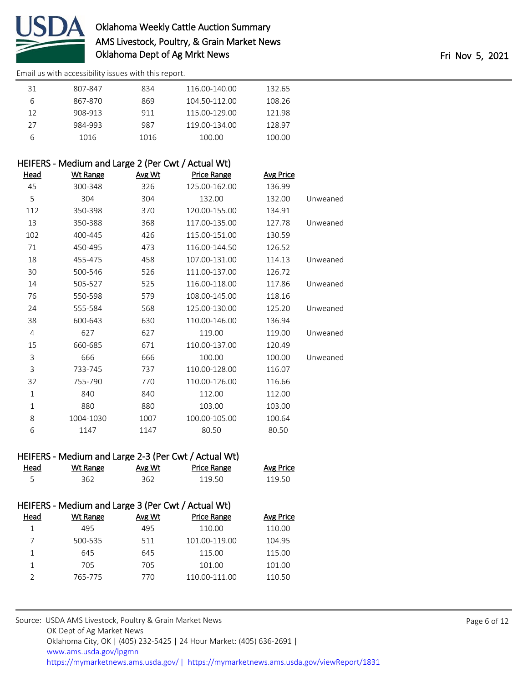

[Email us with accessibility issues with this report.](mailto:mars@ams.usda.gov?subject=508%20issue)

| 31 | 807-847 | 834  | 116.00-140.00 | 132.65 |
|----|---------|------|---------------|--------|
|    | 867-870 | 869  | 104.50-112.00 | 108.26 |
| 12 | 908-913 | 911  | 115.00-129.00 | 121.98 |
| 27 | 984-993 | 987  | 119.00-134.00 | 128.97 |
| b  | 1016    | 1016 | 100.00        | 100.00 |

## HEIFERS - Medium and Large 2 (Per Cwt / Actual Wt)

| <u>Head</u> | <u>Wt Range</u> | <u>Avg Wt</u> | <b>Price Range</b> | <b>Avg Price</b> |          |
|-------------|-----------------|---------------|--------------------|------------------|----------|
| 45          | 300-348         | 326           | 125.00-162.00      | 136.99           |          |
| 5           | 304             | 304           | 132.00             | 132.00           | Unweaned |
| 112         | 350-398         | 370           | 120.00-155.00      | 134.91           |          |
| 13          | 350-388         | 368           | 117.00-135.00      | 127.78           | Unweaned |
| 102         | 400-445         | 426           | 115.00-151.00      | 130.59           |          |
| 71          | 450-495         | 473           | 116.00-144.50      | 126.52           |          |
| 18          | 455-475         | 458           | 107.00-131.00      | 114.13           | Unweaned |
| 30          | 500-546         | 526           | 111.00-137.00      | 126.72           |          |
| 14          | 505-527         | 525           | 116.00-118.00      | 117.86           | Unweaned |
| 76          | 550-598         | 579           | 108.00-145.00      | 118.16           |          |
| 24          | 555-584         | 568           | 125.00-130.00      | 125.20           | Unweaned |
| 38          | 600-643         | 630           | 110.00-146.00      | 136.94           |          |
| 4           | 627             | 627           | 119.00             | 119.00           | Unweaned |
| 15          | 660-685         | 671           | 110.00-137.00      | 120.49           |          |
| 3           | 666             | 666           | 100.00             | 100.00           | Unweaned |
| 3           | 733-745         | 737           | 110.00-128.00      | 116.07           |          |
| 32          | 755-790         | 770           | 110.00-126.00      | 116.66           |          |
| $\mathbf 1$ | 840             | 840           | 112.00             | 112.00           |          |
| $\mathbf 1$ | 880             | 880           | 103.00             | 103.00           |          |
| 8           | 1004-1030       | 1007          | 100.00-105.00      | 100.64           |          |
| 6           | 1147            | 1147          | 80.50              | 80.50            |          |

| HEIFERS - Medium and Large 2-3 (Per Cwt / Actual Wt) |          |        |             |           |  |
|------------------------------------------------------|----------|--------|-------------|-----------|--|
| Head                                                 | Wt Range | Avg Wt | Price Range | Avg Price |  |
|                                                      | 362.     | 362    | 119.50      | 119.50    |  |

| HEIFERS - Medium and Large 3 (Per Cwt / Actual Wt) |  |
|----------------------------------------------------|--|
|----------------------------------------------------|--|

| Head | Wt Range | Avg Wt | <b>Price Range</b> | Avg Price |
|------|----------|--------|--------------------|-----------|
|      | 495      | 495    | 110.00             | 110.00    |
|      | 500-535  | 511    | 101.00-119.00      | 104.95    |
|      | 645      | 645    | 115.00             | 115.00    |
|      | 705      | 705    | 101.00             | 101.00    |
|      | 765-775  | 770    | 110.00-111.00      | 110.50    |
|      |          |        |                    |           |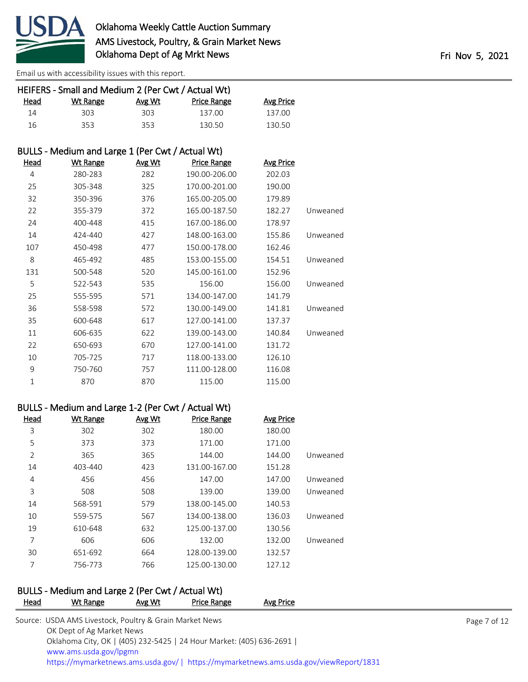

|              | HEIFERS - Small and Medium 2 (Per Cwt / Actual Wt) |        |                    |                  |          |
|--------------|----------------------------------------------------|--------|--------------------|------------------|----------|
| Head         | <b>Wt Range</b>                                    | Avg Wt | <b>Price Range</b> | <b>Avg Price</b> |          |
| 14           | 303                                                | 303    | 137.00             | 137.00           |          |
| 16           | 353                                                | 353    | 130.50             | 130.50           |          |
|              | BULLS - Medium and Large 1 (Per Cwt / Actual Wt)   |        |                    |                  |          |
| Head         | <b>Wt Range</b>                                    | Avg Wt | <b>Price Range</b> | <b>Avg Price</b> |          |
| 4            | 280-283                                            | 282    | 190.00-206.00      | 202.03           |          |
| 25           | 305-348                                            | 325    | 170.00-201.00      | 190.00           |          |
| 32           | 350-396                                            | 376    | 165.00-205.00      | 179.89           |          |
| 22           | 355-379                                            | 372    | 165.00-187.50      | 182.27           | Unweaned |
| 24           | 400-448                                            | 415    | 167.00-186.00      | 178.97           |          |
| 14           | 424-440                                            | 427    | 148.00-163.00      | 155.86           | Unweaned |
| 107          | 450-498                                            | 477    | 150.00-178.00      | 162.46           |          |
| 8            | 465-492                                            | 485    | 153.00-155.00      | 154.51           | Unweaned |
| 131          | 500-548                                            | 520    | 145.00-161.00      | 152.96           |          |
| 5            | 522-543                                            | 535    | 156.00             | 156.00           | Unweaned |
| 25           | 555-595                                            | 571    | 134.00-147.00      | 141.79           |          |
| 36           | 558-598                                            | 572    | 130.00-149.00      | 141.81           | Unweaned |
| 35           | 600-648                                            | 617    | 127.00-141.00      | 137.37           |          |
| 11           | 606-635                                            | 622    | 139.00-143.00      | 140.84           | Unweaned |
| 22           | 650-693                                            | 670    | 127.00-141.00      | 131.72           |          |
| 10           | 705-725                                            | 717    | 118.00-133.00      | 126.10           |          |
| 9            | 750-760                                            | 757    | 111.00-128.00      | 116.08           |          |
| $\mathbf{1}$ | 870                                                | 870    | 115.00             | 115.00           |          |

## BULLS - Medium and Large 1-2 (Per Cwt / Actual Wt)

| Head | Wt Range | Avg Wt | <b>Price Range</b> | <b>Avg Price</b> |          |
|------|----------|--------|--------------------|------------------|----------|
| 3    | 302      | 302    | 180.00             | 180.00           |          |
| 5    | 373      | 373    | 171.00             | 171.00           |          |
| 2    | 365      | 365    | 144.00             | 144.00           | Unweaned |
| 14   | 403-440  | 423    | 131.00-167.00      | 151.28           |          |
| 4    | 456      | 456    | 147.00             | 147.00           | Unweaned |
| 3    | 508      | 508    | 139.00             | 139.00           | Unweaned |
| 14   | 568-591  | 579    | 138.00-145.00      | 140.53           |          |
| 10   | 559-575  | 567    | 134.00-138.00      | 136.03           | Unweaned |
| 19   | 610-648  | 632    | 125.00-137.00      | 130.56           |          |
| 7    | 606      | 606    | 132.00             | 132.00           | Unweaned |
| 30   | 651-692  | 664    | 128.00-139.00      | 132.57           |          |
| 7    | 756-773  | 766    | 125.00-130.00      | 127.12           |          |

# BULLS - Medium and Large 2 (Per Cwt / Actual Wt)

| Head | Wt Range                                                | Avg Wt | Price Range                                                         | Avg Price                                                                              |              |
|------|---------------------------------------------------------|--------|---------------------------------------------------------------------|----------------------------------------------------------------------------------------|--------------|
|      | Source: USDA AMS Livestock, Poultry & Grain Market News |        |                                                                     |                                                                                        | Page 7 of 12 |
|      | OK Dept of Ag Market News                               |        |                                                                     |                                                                                        |              |
|      |                                                         |        | Oklahoma City, OK   (405) 232-5425   24 Hour Market: (405) 636-2691 |                                                                                        |              |
|      | www.ams.usda.gov/lpgmn                                  |        |                                                                     |                                                                                        |              |
|      |                                                         |        |                                                                     | https://mymarketnews.ams.usda.gov/   https://mymarketnews.ams.usda.gov/viewReport/1831 |              |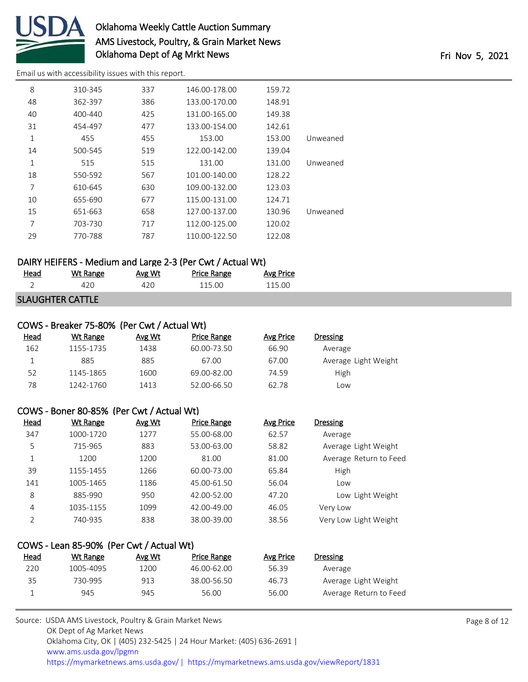

[Email us with accessibility issues with this report.](mailto:mars@ams.usda.gov?subject=508%20issue)

| 8  | 310-345 | 337 | 146.00-178.00 | 159.72 |          |
|----|---------|-----|---------------|--------|----------|
| 48 | 362-397 | 386 | 133.00-170.00 | 148.91 |          |
| 40 | 400-440 | 425 | 131.00-165.00 | 149.38 |          |
| 31 | 454-497 | 477 | 133.00-154.00 | 142.61 |          |
| 1  | 455     | 455 | 153.00        | 153.00 | Unweaned |
| 14 | 500-545 | 519 | 122.00-142.00 | 139.04 |          |
| 1  | 515     | 515 | 131.00        | 131.00 | Unweaned |
| 18 | 550-592 | 567 | 101.00-140.00 | 128.22 |          |
| 7  | 610-645 | 630 | 109.00-132.00 | 123.03 |          |
| 10 | 655-690 | 677 | 115.00-131.00 | 124.71 |          |
| 15 | 651-663 | 658 | 127.00-137.00 | 130.96 | Unweaned |
| 7  | 703-730 | 717 | 112.00-125.00 | 120.02 |          |
| 29 | 770-788 | 787 | 110.00-122.50 | 122.08 |          |

# DAIRY HEIFERS - Medium and Large 2-3 (Per Cwt / Actual Wt)

| <u>Head</u> | Wt Range                | Avg Wt | <b>Price Range</b> | Avg Price |
|-------------|-------------------------|--------|--------------------|-----------|
|             |                         |        | 115 OO             | 115 OO    |
|             | <b>SLAUGHTER CATTLE</b> |        |                    |           |

## COWS - Breaker 75-80% (Per Cwt / Actual Wt)

| Head | Wt Range  | Avg Wt | Price Range | Avg Price | Dressing             |
|------|-----------|--------|-------------|-----------|----------------------|
| 162  | 1155-1735 | 1438   | 60.00-73.50 | 66.90     | Average              |
|      | 885       | 885    | 67.00       | 67.00     | Average Light Weight |
| 52   | 1145-1865 | 1600   | 69.00-82.00 | 74.59     | High                 |
| 78   | 1242-1760 | 1413   | 52.00-66.50 | 62.78     | Low                  |

#### COWS - Boner 80-85% (Per Cwt / Actual Wt)

| <u>Head</u>   | Wt Range  | Avg Wt | <b>Price Range</b> | Avg Price | <b>Dressing</b>        |
|---------------|-----------|--------|--------------------|-----------|------------------------|
| 347           | 1000-1720 | 1277   | 55.00-68.00        | 62.57     | Average                |
| 5             | 715-965   | 883    | 53.00-63.00        | 58.82     | Average Light Weight   |
| 1             | 1200      | 1200   | 81.00              | 81.00     | Average Return to Feed |
| 39            | 1155-1455 | 1266   | 60.00-73.00        | 65.84     | High                   |
| 141           | 1005-1465 | 1186   | 45.00-61.50        | 56.04     | Low                    |
| 8             | 885-990   | 950    | 42.00-52.00        | 47.20     | Low Light Weight       |
| 4             | 1035-1155 | 1099   | 42.00-49.00        | 46.05     | Very Low               |
| $\mathcal{P}$ | 740-935   | 838    | 38.00-39.00        | 38.56     | Very Low Light Weight  |

## COWS - Lean 85-90% (Per Cwt / Actual Wt) Head Wt Range Avg Wt Price Range Avg Price Dressing 1005-4095 1200 46.00-62.00 56.39 Average 730-995 913 38.00-56.50 46.73 Average Light Weight 945 945 56.00 56.00 Average Return to Feed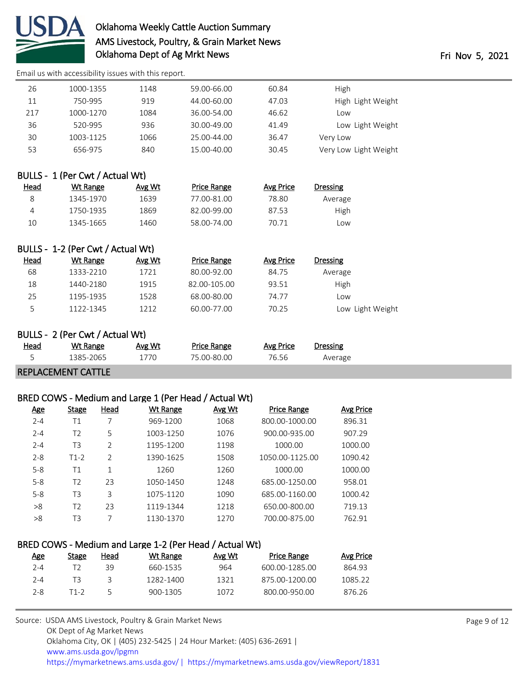

[Email us with accessibility issues with this report.](mailto:mars@ams.usda.gov?subject=508%20issue)

| 26  | 1000-1355 | 1148 | 59.00-66.00 | 60.84 | High                  |
|-----|-----------|------|-------------|-------|-----------------------|
| 11  | 750-995   | 919  | 44.00-60.00 | 47.03 | High Light Weight     |
| 217 | 1000-1270 | 1084 | 36.00-54.00 | 46.62 | Low                   |
| 36  | 520-995   | 936  | 30.00-49.00 | 41.49 | Low Light Weight      |
| 30  | 1003-1125 | 1066 | 25.00-44.00 | 36.47 | Very Low              |
| 53  | 656-975   | 840  | 15.00-40.00 | 30.45 | Very Low Light Weight |
|     |           |      |             |       |                       |

# BULLS - 1 (Per Cwt / Actual Wt)

| <u>Head</u> | Wt Range  | Avg Wt | Price Range | Avg Price | Dressing |  |
|-------------|-----------|--------|-------------|-----------|----------|--|
| 8           | 1345-1970 | 1639   | 77.00-81.00 | 78.80     | Average  |  |
| 4           | 1750-1935 | 1869   | 82.00-99.00 | 87.53     | High     |  |
| 10          | 1345-1665 | 1460   | 58.00-74.00 | 70.71     | LOW.     |  |

# BULLS - 1-2 (Per Cwt / Actual Wt)

| <u>Head</u> | Wt Range  | Avg Wt | Price Range  | Avg Price | <b>Dressing</b>  |
|-------------|-----------|--------|--------------|-----------|------------------|
| 68          | 1333-2210 | 1721   | 80.00-92.00  | 84.75     | Average          |
| 18          | 1440-2180 | 1915   | 82.00-105.00 | 93.51     | <b>High</b>      |
| 25          | 1195-1935 | 1528   | 68.00-80.00  | 74.77     | Low              |
| כ           | 1122-1345 | 1212   | 60.00-77.00  | 70.25     | Low Light Weight |

#### BULLS - 2 (Per Cwt / Actual Wt)

| <u>Head</u> | Wt Range        | Avg Wt | Price Range | Avg Price | Dressing |
|-------------|-----------------|--------|-------------|-----------|----------|
| -           | $-2065$<br>1205 |        | ገ_ՋՈ        | 0.5b      | werage   |
|             |                 |        |             |           |          |

#### REPLACEMENT CATTLE

## BRED COWS - Medium and Large 1 (Per Head / Actual Wt)

| <u>Age</u> | Stage          | Head           | Wt Range  | Avg Wt | <b>Price Range</b> | Avg Price |
|------------|----------------|----------------|-----------|--------|--------------------|-----------|
| $2 - 4$    | Τ1             | 7              | 969-1200  | 1068   | 800.00-1000.00     | 896.31    |
| $2 - 4$    | T <sub>2</sub> | 5              | 1003-1250 | 1076   | 900.00-935.00      | 907.29    |
| $2 - 4$    | T <sub>3</sub> | $\overline{2}$ | 1195-1200 | 1198   | 1000.00            | 1000.00   |
| $2 - 8$    | $T1-2$         | $\mathfrak{D}$ | 1390-1625 | 1508   | 1050.00-1125.00    | 1090.42   |
| $5 - 8$    | Τ1             | $\mathbf{1}$   | 1260      | 1260   | 1000.00            | 1000.00   |
| $5 - 8$    | T <sub>2</sub> | 23             | 1050-1450 | 1248   | 685.00-1250.00     | 958.01    |
| $5 - 8$    | T <sub>3</sub> | 3              | 1075-1120 | 1090   | 685.00-1160.00     | 1000.42   |
| >8         | T <sub>2</sub> | 23             | 1119-1344 | 1218   | 650.00-800.00      | 719.13    |
| >8         | TЗ             | 7              | 1130-1370 | 1270   | 700.00-875.00      | 762.91    |
|            |                |                |           |        |                    |           |

## BRED COWS - Medium and Large 1-2 (Per Head / Actual Wt)

| Age     | Stage | Head | Wt Range  | Avg Wt | <b>Price Range</b> | Avg Price |
|---------|-------|------|-----------|--------|--------------------|-----------|
| $2 - 4$ |       | 39   | 660-1535  | 964    | 600.00-1285.00     | 864.93    |
| $2 - 4$ |       |      | 1282-1400 | 1321   | 875.00-1200.00     | 1085.22   |
| $2 - 8$ | T1-2  |      | 900-1305  | 1072   | 800.00-950.00      | 876.26    |
|         |       |      |           |        |                    |           |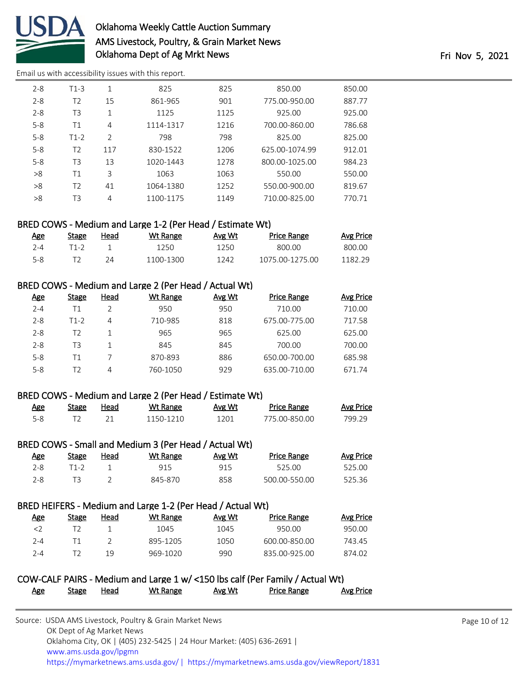

[Email us with accessibility issues with this report.](mailto:mars@ams.usda.gov?subject=508%20issue)

| $2 - 8$ | $T1-3$         | 1   | 825       | 825  | 850.00         | 850.00 |
|---------|----------------|-----|-----------|------|----------------|--------|
| $2 - 8$ | T <sub>2</sub> | 15  | 861-965   | 901  | 775.00-950.00  | 887.77 |
| $2 - 8$ | T3             | 1   | 1125      | 1125 | 925.00         | 925.00 |
| $5 - 8$ | Τ1             | 4   | 1114-1317 | 1216 | 700.00-860.00  | 786.68 |
| $5 - 8$ | $T1-2$         | 2   | 798       | 798  | 825.00         | 825.00 |
| $5 - 8$ | T <sub>2</sub> | 117 | 830-1522  | 1206 | 625.00-1074.99 | 912.01 |
| $5 - 8$ | T3             | 13  | 1020-1443 | 1278 | 800.00-1025.00 | 984.23 |
| >8      | Τ1             | 3   | 1063      | 1063 | 550.00         | 550.00 |
| >8      | T2             | 41  | 1064-1380 | 1252 | 550.00-900.00  | 819.67 |
| >8      | T3             | 4   | 1100-1175 | 1149 | 710.00-825.00  | 770.71 |

# BRED COWS - Medium and Large 1-2 (Per Head / Estimate Wt)

| Age | Stage | Head | Wt Range  | Avg Wt | <b>Price Range</b> | Avg Price |
|-----|-------|------|-----------|--------|--------------------|-----------|
| 7-4 | T1-2  |      | 1250.     | 1250   | ROO OO             | 800.00    |
| 5-8 |       |      | 1100-1300 | 1242   | 1075 00-1275 00    | 1182.29   |

# BRED COWS - Medium and Large 2 (Per Head / Actual Wt)

| <u>Age</u> | Stage | Head | Wt Range | Avg Wt | <b>Price Range</b> | Avg Price |
|------------|-------|------|----------|--------|--------------------|-----------|
| $2 - 4$    | Τ1    |      | 950      | 950    | 710.00             | 710.00    |
| $2 - 8$    | T1-2  | 4    | 710-985  | 818    | 675.00-775.00      | 717.58    |
| $2 - 8$    | T2    |      | 965      | 965    | 625.00             | 625.00    |
| $2 - 8$    | T3    |      | 845      | 845    | 700.00             | 700.00    |
| $5 - 8$    | Τ1    |      | 870-893  | 886    | 650.00-700.00      | 685.98    |
| $5 - 8$    | T2    | 4    | 760-1050 | 929    | 635.00-710.00      | 671.74    |

## BRED COWS - Medium and Large 2 (Per Head / Estimate Wt)

| <u>Age</u> | Stage | Head | Wt Range | Avg Wt | Price Range   | <b>Avg Price</b> |
|------------|-------|------|----------|--------|---------------|------------------|
|            |       |      | 150-1210 | 1201.  | 775 00-850 00 | 799 29           |

## BRED COWS - Small and Medium 3 (Per Head / Actual Wt)

| <u>Age</u> | Stage | Head | Wt Range | Avg Wt | <b>Price Range</b> | <u>Avg Price</u> |
|------------|-------|------|----------|--------|--------------------|------------------|
| 2-8        | ⊺1-2  |      | 915      | 915    | 525.00             | 525.00           |
| 2-8        |       |      | 845-870  | 858    | 500.00-550.00      | 525.36           |

## BRED HEIFERS - Medium and Large 1-2 (Per Head / Actual Wt)

| Age | Stage | Head | Wt Range | Avg Wt | Price Range   | Avg Price |
|-----|-------|------|----------|--------|---------------|-----------|
| <2  |       |      | 1045     | 1045   | 950.00        | 950.00    |
| 2-4 |       |      | 895-1205 | 1050   | 600.00-850.00 | 743.45    |
| 2-4 |       | 19   | 969-1020 | 990    | 835.00-925.00 | 874.02    |

#### COW-CALF PAIRS - Medium and Large 1 w/ <150 lbs calf (Per Family / Actual Wt) Age Stage Head Wt Range Avg Wt Price Range Avg Price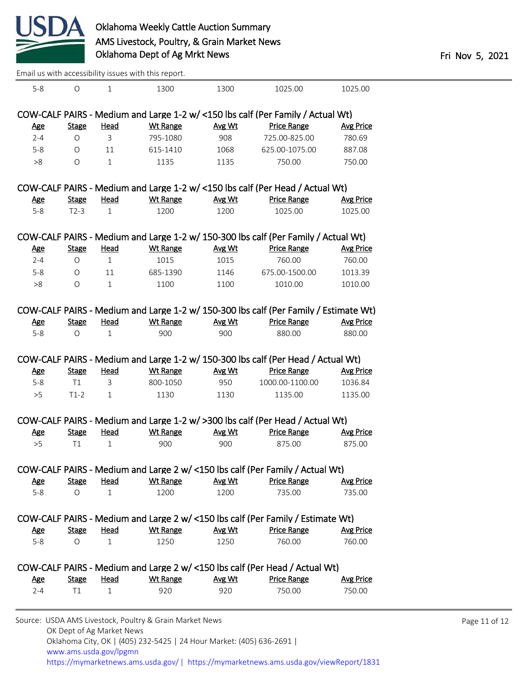

| Email us with accessibility issues with this report. |  |
|------------------------------------------------------|--|
|------------------------------------------------------|--|

| Age                   |                         |                      |                  |                |                                                                                                     |                            |
|-----------------------|-------------------------|----------------------|------------------|----------------|-----------------------------------------------------------------------------------------------------|----------------------------|
|                       | <b>Stage</b>            | <b>Head</b>          | <b>Wt Range</b>  | Avg Wt         | COW-CALF PAIRS - Medium and Large 2 w/ <150 lbs calf (Per Head / Actual Wt)<br><b>Price Range</b>   | <b>Avg Price</b>           |
|                       |                         |                      | 1250             |                |                                                                                                     |                            |
| <b>Age</b><br>$5-8$   | <b>Stage</b><br>$\circ$ | Head<br>$\mathbf{1}$ | <b>Wt Range</b>  | Avg Wt<br>1250 | <b>Price Range</b><br>760.00                                                                        | <b>Avg Price</b><br>760.00 |
|                       |                         |                      |                  |                | COW-CALF PAIRS - Medium and Large 2 w/ <150 lbs calf (Per Family / Estimate Wt)                     |                            |
|                       |                         |                      |                  |                |                                                                                                     |                            |
| $5-8$                 | $\circ$                 | $\mathbf 1$          | 1200             | 1200           | 735.00                                                                                              | 735.00                     |
| <u>Age</u>            | <b>Stage</b>            | <b>Head</b>          | <b>Wt Range</b>  | Avg Wt         | COW-CALF PAIRS - Medium and Large 2 w/ <150 lbs calf (Per Family / Actual Wt)<br><b>Price Range</b> | <b>Avg Price</b>           |
|                       |                         |                      |                  |                |                                                                                                     |                            |
| >5                    | T1                      | $\mathbf 1$          | 900              | 900            | 875.00                                                                                              | 875.00                     |
| <u>Age</u>            | <b>Stage</b>            | <b>Head</b>          | Wt Range         | Avg Wt         | <b>Price Range</b>                                                                                  | <b>Avg Price</b>           |
|                       |                         |                      |                  |                | COW-CALF PAIRS - Medium and Large 1-2 w/ >300 lbs calf (Per Head / Actual Wt)                       |                            |
|                       |                         |                      |                  |                |                                                                                                     |                            |
| >5                    | T1<br>$T1-2$            | 3<br>$\mathbf{1}$    | 800-1050<br>1130 | 950<br>1130    | 1000.00-1100.00<br>1135.00                                                                          | 1036.84<br>1135.00         |
| <b>Age</b><br>$5 - 8$ | <b>Stage</b>            | <u>Head</u>          | <b>Wt Range</b>  | Avg Wt         | <b>Price Range</b>                                                                                  | <b>Avg Price</b>           |
|                       |                         |                      |                  |                | COW-CALF PAIRS - Medium and Large 1-2 w/ 150-300 lbs calf (Per Head / Actual Wt)                    |                            |
|                       |                         |                      |                  |                |                                                                                                     |                            |
| $5 - 8$               | $\circ$                 | $\mathbf{1}$         | 900              | 900            | 880.00                                                                                              | 880.00                     |
| <b>Age</b>            | <b>Stage</b>            | <b>Head</b>          | <b>Wt Range</b>  | Avg Wt         | <b>Price Range</b>                                                                                  | <b>Avg Price</b>           |
|                       |                         |                      |                  |                | COW-CALF PAIRS - Medium and Large 1-2 w/ 150-300 lbs calf (Per Family / Estimate Wt)                |                            |
| >8                    | $\bigcirc$              | $\mathbf{1}$         | 1100             | 1100           | 1010.00                                                                                             | 1010.00                    |
| $5 - 8$               | 0                       | 11                   | 685-1390         | 1146           | 675.00-1500.00                                                                                      | 1013.39                    |
| $2 - 4$               | $\circ$                 | $1\,$                | 1015             | 1015           | 760.00                                                                                              | 760.00                     |
| <b>Age</b>            | <b>Stage</b>            | <b>Head</b>          | <b>Wt Range</b>  | Avg Wt         | <b>Price Range</b>                                                                                  | <b>Avg Price</b>           |
|                       |                         |                      |                  |                | COW-CALF PAIRS - Medium and Large 1-2 w/ 150-300 lbs calf (Per Family / Actual Wt)                  |                            |
|                       |                         |                      |                  |                |                                                                                                     |                            |
| $5 - 8$               | $T2-3$                  | $\mathbf{1}$         | 1200             | 1200           | 1025.00                                                                                             | 1025.00                    |
| <b>Age</b>            | <b>Stage</b>            | Head                 | <b>Wt Range</b>  | Avg Wt         | <b>Price Range</b>                                                                                  | <b>Avg Price</b>           |
|                       |                         |                      |                  |                | COW-CALF PAIRS - Medium and Large 1-2 w/ <150 lbs calf (Per Head / Actual Wt)                       |                            |
| >8                    | $\circ$                 | $\mathbf{1}$         | 1135             | 1135           | 750.00                                                                                              | 750.00                     |
| $5 - 8$               | $\circ$                 | 11                   | 615-1410         | 1068           | 625.00-1075.00                                                                                      | 887.08                     |
| $2 - 4$               | $\bigcirc$              | 3                    | 795-1080         | 908            | 725.00-825.00                                                                                       | 780.69                     |
| <b>Age</b>            | <b>Stage</b>            | <b>Head</b>          | <b>Wt Range</b>  | Avg Wt         | <b>Price Range</b>                                                                                  | <b>Avg Price</b>           |
|                       |                         |                      |                  |                | COW-CALF PAIRS - Medium and Large 1-2 w/ <150 lbs calf (Per Family / Actual Wt)                     |                            |
|                       |                         |                      |                  |                |                                                                                                     |                            |